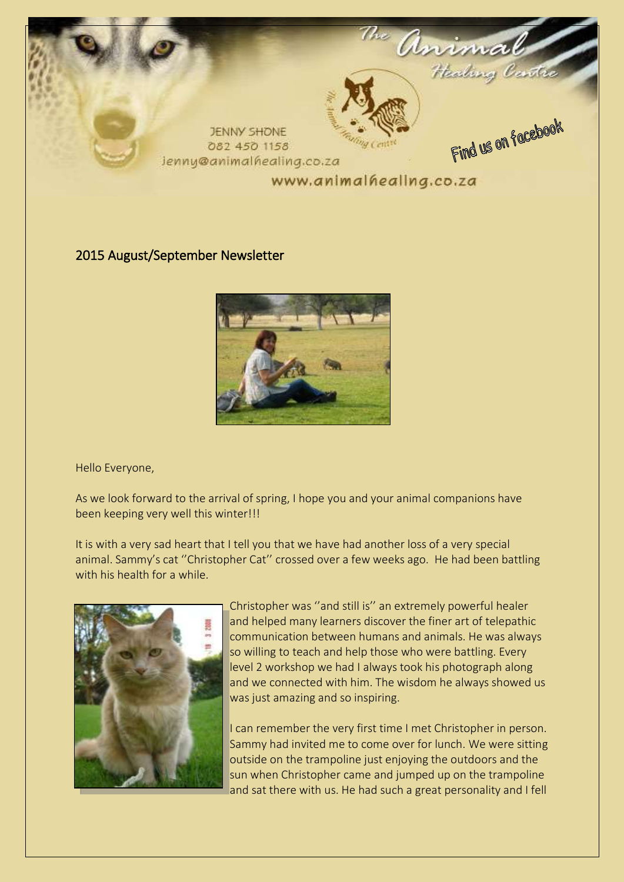

### 2015 August/September Newsletter



Hello Everyone,

As we look forward to the arrival of spring, I hope you and your animal companions have been keeping very well this winter!!!

It is with a very sad heart that I tell you that we have had another loss of a very special animal. Sammy's cat ''Christopher Cat'' crossed over a few weeks ago. He had been battling with his health for a while.



Christopher was ''and still is'' an extremely powerful healer and helped many learners discover the finer art of telepathic communication between humans and animals. He was always so willing to teach and help those who were battling. Every level 2 workshop we had I always took his photograph along and we connected with him. The wisdom he always showed us was just amazing and so inspiring.

I can remember the very first time I met Christopher in person. Sammy had invited me to come over for lunch. We were sitting outside on the trampoline just enjoying the outdoors and the sun when Christopher came and jumped up on the trampoline and sat there with us. He had such a great personality and I fell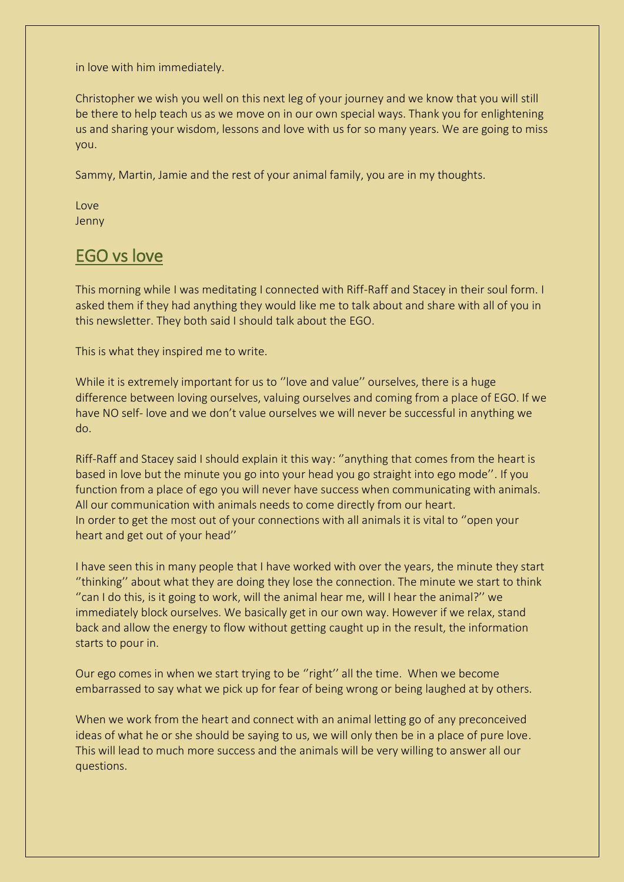in love with him immediately.

Christopher we wish you well on this next leg of your journey and we know that you will still be there to help teach us as we move on in our own special ways. Thank you for enlightening us and sharing your wisdom, lessons and love with us for so many years. We are going to miss you.

Sammy, Martin, Jamie and the rest of your animal family, you are in my thoughts.

Love Jenny

# EGO vs love

This morning while I was meditating I connected with Riff-Raff and Stacey in their soul form. I asked them if they had anything they would like me to talk about and share with all of you in this newsletter. They both said I should talk about the EGO.

This is what they inspired me to write.

While it is extremely important for us to "love and value" ourselves, there is a huge difference between loving ourselves, valuing ourselves and coming from a place of EGO. If we have NO self- love and we don't value ourselves we will never be successful in anything we do.

Riff-Raff and Stacey said I should explain it this way: ''anything that comes from the heart is based in love but the minute you go into your head you go straight into ego mode''. If you function from a place of ego you will never have success when communicating with animals. All our communication with animals needs to come directly from our heart. In order to get the most out of your connections with all animals it is vital to ''open your heart and get out of your head''

I have seen this in many people that I have worked with over the years, the minute they start ''thinking'' about what they are doing they lose the connection. The minute we start to think ''can I do this, is it going to work, will the animal hear me, will I hear the animal?'' we immediately block ourselves. We basically get in our own way. However if we relax, stand back and allow the energy to flow without getting caught up in the result, the information starts to pour in.

Our ego comes in when we start trying to be ''right'' all the time. When we become embarrassed to say what we pick up for fear of being wrong or being laughed at by others.

When we work from the heart and connect with an animal letting go of any preconceived ideas of what he or she should be saying to us, we will only then be in a place of pure love. This will lead to much more success and the animals will be very willing to answer all our questions.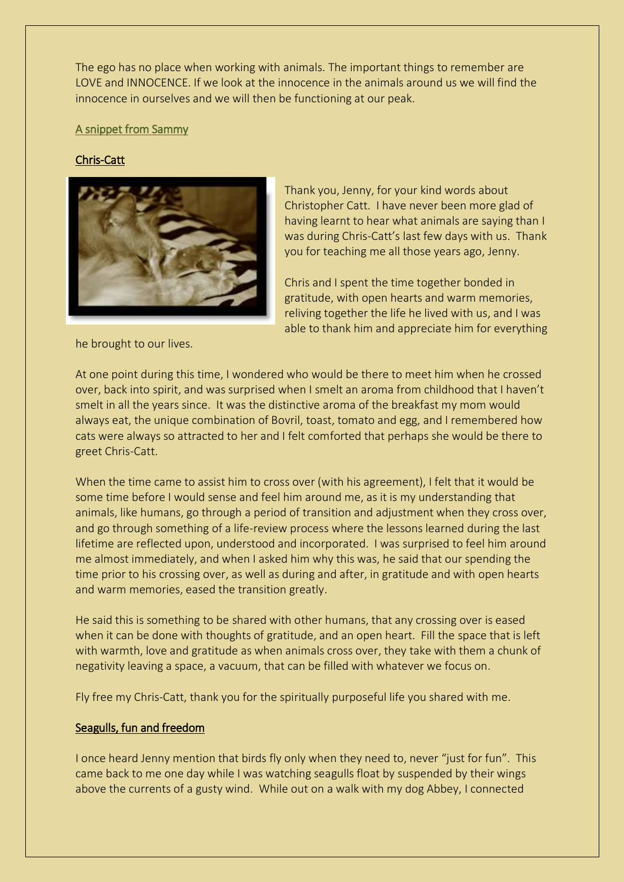The ego has no place when working with animals. The important things to remember are LOVE and INNOCENCE. If we look at the innocence in the animals around us we will find the innocence in ourselves and we will then be functioning at our peak.

#### A snippet from Sammy

#### Chris-Catt



he brought to our lives.

Thank you, Jenny, for your kind words about Christopher Catt. I have never been more glad of having learnt to hear what animals are saying than I was during Chris-Catt's last few days with us. Thank you for teaching me all those years ago, Jenny.

Chris and I spent the time together bonded in gratitude, with open hearts and warm memories, reliving together the life he lived with us, and I was able to thank him and appreciate him for everything

At one point during this time, I wondered who would be there to meet him when he crossed over, back into spirit, and was surprised when I smelt an aroma from childhood that I haven't smelt in all the years since. It was the distinctive aroma of the breakfast my mom would always eat, the unique combination of Bovril, toast, tomato and egg, and I remembered how cats were always so attracted to her and I felt comforted that perhaps she would be there to greet Chris-Catt.

When the time came to assist him to cross over (with his agreement), I felt that it would be some time before I would sense and feel him around me, as it is my understanding that animals, like humans, go through a period of transition and adjustment when they cross over, and go through something of a life-review process where the lessons learned during the last lifetime are reflected upon, understood and incorporated. I was surprised to feel him around me almost immediately, and when I asked him why this was, he said that our spending the time prior to his crossing over, as well as during and after, in gratitude and with open hearts and warm memories, eased the transition greatly.

He said this is something to be shared with other humans, that any crossing over is eased when it can be done with thoughts of gratitude, and an open heart. Fill the space that is left with warmth, love and gratitude as when animals cross over, they take with them a chunk of negativity leaving a space, a vacuum, that can be filled with whatever we focus on.

Fly free my Chris-Catt, thank you for the spiritually purposeful life you shared with me.

#### Seagulls, fun and freedom

I once heard Jenny mention that birds fly only when they need to, never "just for fun". This came back to me one day while I was watching seagulls float by suspended by their wings above the currents of a gusty wind. While out on a walk with my dog Abbey, I connected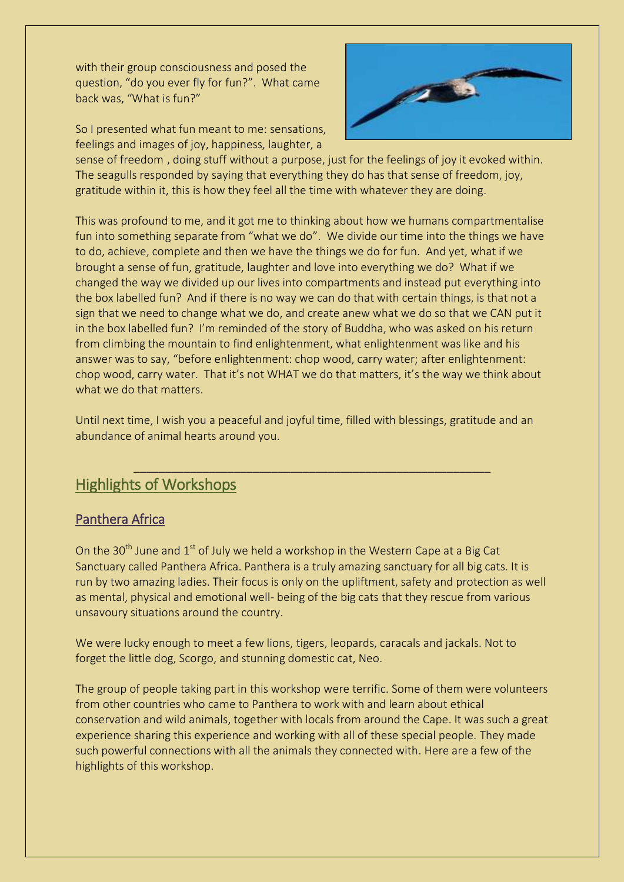with their group consciousness and posed the question, "do you ever fly for fun?". What came back was, "What is fun?"

So I presented what fun meant to me: sensations, feelings and images of joy, happiness, laughter, a



sense of freedom , doing stuff without a purpose, just for the feelings of joy it evoked within. The seagulls responded by saying that everything they do has that sense of freedom, joy, gratitude within it, this is how they feel all the time with whatever they are doing.

This was profound to me, and it got me to thinking about how we humans compartmentalise fun into something separate from "what we do". We divide our time into the things we have to do, achieve, complete and then we have the things we do for fun. And yet, what if we brought a sense of fun, gratitude, laughter and love into everything we do? What if we changed the way we divided up our lives into compartments and instead put everything into the box labelled fun? And if there is no way we can do that with certain things, is that not a sign that we need to change what we do, and create anew what we do so that we CAN put it in the box labelled fun? I'm reminded of the story of Buddha, who was asked on his return from climbing the mountain to find enlightenment, what enlightenment was like and his answer was to say, "before enlightenment: chop wood, carry water; after enlightenment: chop wood, carry water. That it's not WHAT we do that matters, it's the way we think about what we do that matters.

Until next time, I wish you a peaceful and joyful time, filled with blessings, gratitude and an abundance of animal hearts around you.

\_\_\_\_\_\_\_\_\_\_\_\_\_\_\_\_\_\_\_\_\_\_\_\_\_\_\_\_\_\_\_\_\_\_\_\_\_\_\_\_\_\_\_\_\_\_\_\_\_\_\_\_\_\_\_\_\_

## Highlights of Workshops

### Panthera Africa

On the 30<sup>th</sup> June and  $1<sup>st</sup>$  of July we held a workshop in the Western Cape at a Big Cat Sanctuary called Panthera Africa. Panthera is a truly amazing sanctuary for all big cats. It is run by two amazing ladies. Their focus is only on the upliftment, safety and protection as well as mental, physical and emotional well- being of the big cats that they rescue from various unsavoury situations around the country.

We were lucky enough to meet a few lions, tigers, leopards, caracals and jackals. Not to forget the little dog, Scorgo, and stunning domestic cat, Neo.

The group of people taking part in this workshop were terrific. Some of them were volunteers from other countries who came to Panthera to work with and learn about ethical conservation and wild animals, together with locals from around the Cape. It was such a great experience sharing this experience and working with all of these special people. They made such powerful connections with all the animals they connected with. Here are a few of the highlights of this workshop.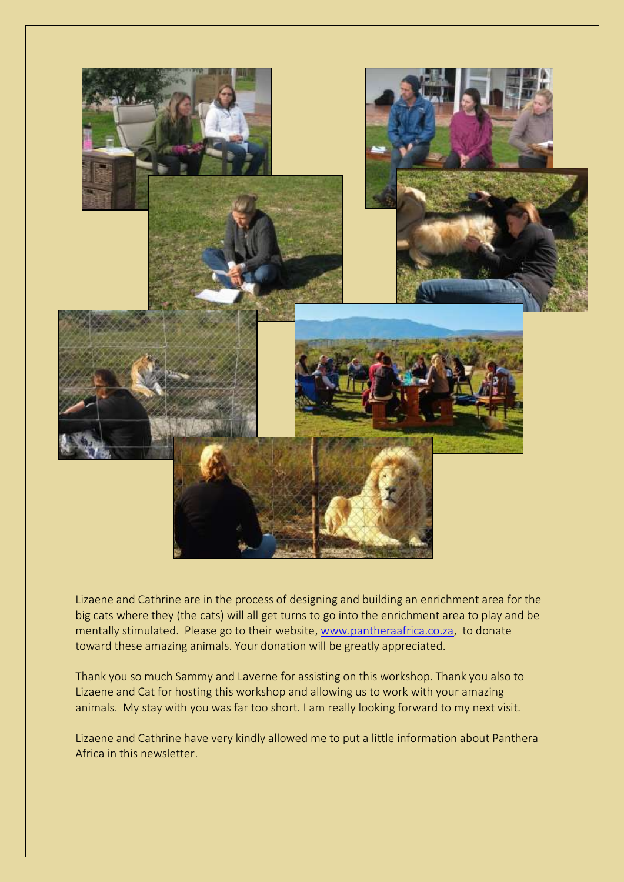

Lizaene and Cathrine are in the process of designing and building an enrichment area for the big cats where they (the cats) will all get turns to go into the enrichment area to play and be mentally stimulated. Please go to their website, [www.pantheraafrica.co.za,](http://www.pantheraafrica.co.za/) to donate toward these amazing animals. Your donation will be greatly appreciated.

Thank you so much Sammy and Laverne for assisting on this workshop. Thank you also to Lizaene and Cat for hosting this workshop and allowing us to work with your amazing animals. My stay with you was far too short. I am really looking forward to my next visit.

Lizaene and Cathrine have very kindly allowed me to put a little information about Panthera Africa in this newsletter.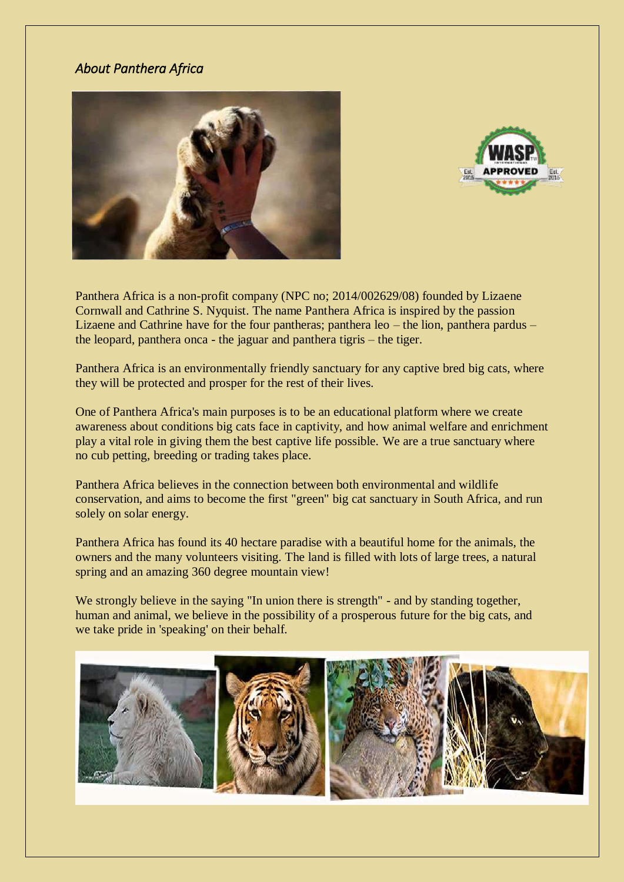### *About Panthera Africa*





Panthera Africa is a non-profit company (NPC no; 2014/002629/08) founded by Lizaene Cornwall and Cathrine S. Nyquist. The name Panthera Africa is inspired by the passion Lizaene and Cathrine have for the four pantheras; panthera leo – the lion, panthera pardus – the leopard, panthera onca - the jaguar and panthera tigris – the tiger.

Panthera Africa is an environmentally friendly sanctuary for any captive bred big cats, where they will be protected and prosper for the rest of their lives.

One of Panthera Africa's main purposes is to be an educational platform where we create awareness about conditions big cats face in captivity, and how animal welfare and enrichment play a vital role in giving them the best captive life possible. We are a true sanctuary where no cub petting, breeding or trading takes place.

Panthera Africa believes in the connection between both environmental and wildlife conservation, and aims to become the first "green" big cat sanctuary in South Africa, and run solely on solar energy.

Panthera Africa has found its 40 hectare paradise with a beautiful home for the animals, the owners and the many volunteers visiting. The land is filled with lots of large trees, a natural spring and an amazing 360 degree mountain view!

We strongly believe in the saying "In union there is strength" - and by standing together, human and animal, we believe in the possibility of a prosperous future for the big cats, and we take pride in 'speaking' on their behalf.

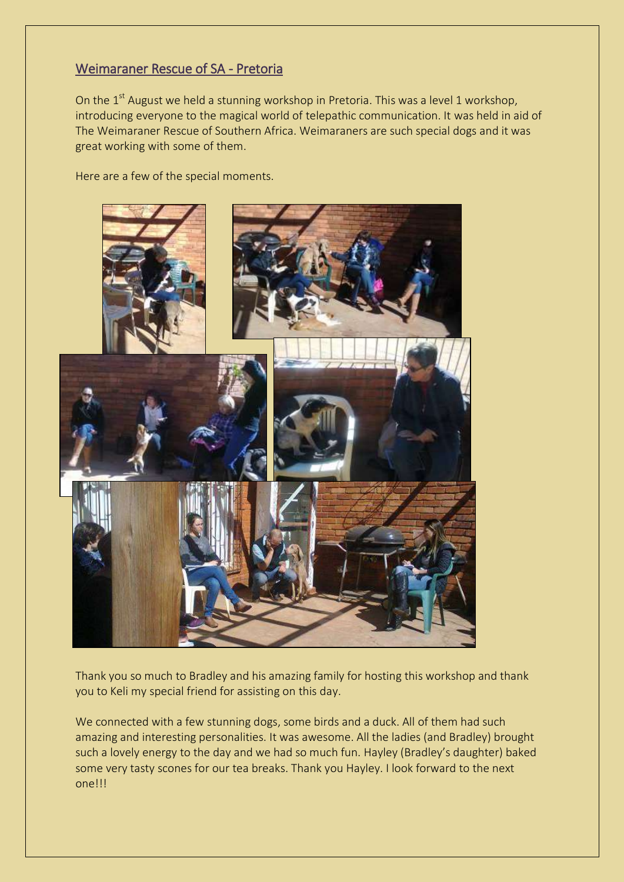### Weimaraner Rescue of SA - Pretoria

On the 1<sup>st</sup> August we held a stunning workshop in Pretoria. This was a level 1 workshop, introducing everyone to the magical world of telepathic communication. It was held in aid of The Weimaraner Rescue of Southern Africa. Weimaraners are such special dogs and it was great working with some of them.

Here are a few of the special moments.



Thank you so much to Bradley and his amazing family for hosting this workshop and thank you to Keli my special friend for assisting on this day.

We connected with a few stunning dogs, some birds and a duck. All of them had such amazing and interesting personalities. It was awesome. All the ladies (and Bradley) brought such a lovely energy to the day and we had so much fun. Hayley (Bradley's daughter) baked some very tasty scones for our tea breaks. Thank you Hayley. I look forward to the next one!!!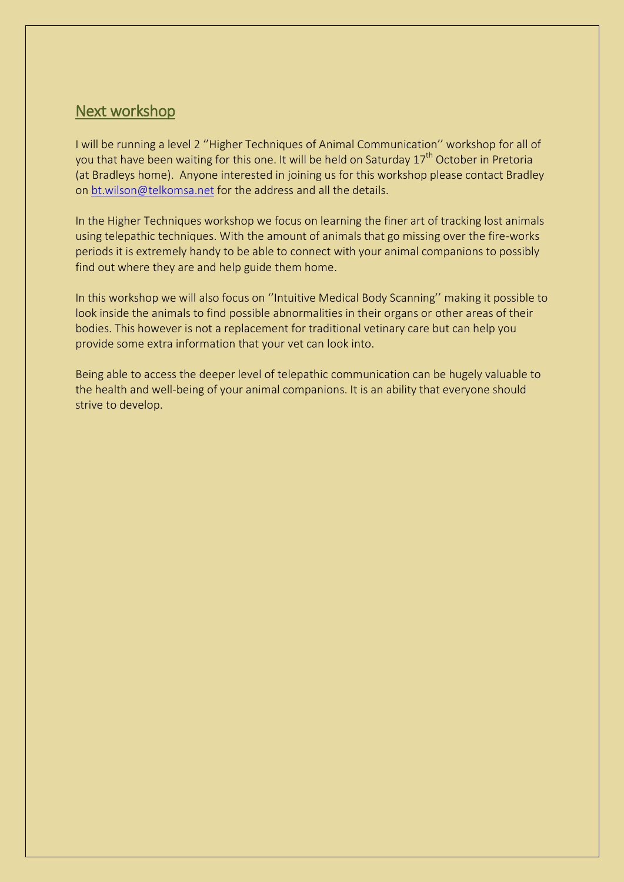## Next workshop

I will be running a level 2 ''Higher Techniques of Animal Communication'' workshop for all of you that have been waiting for this one. It will be held on Saturday 17<sup>th</sup> October in Pretoria (at Bradleys home). Anyone interested in joining us for this workshop please contact Bradley on [bt.wilson@telkomsa.net](mailto:bt.wilson@telkomsa.net) for the address and all the details.

In the Higher Techniques workshop we focus on learning the finer art of tracking lost animals using telepathic techniques. With the amount of animals that go missing over the fire-works periods it is extremely handy to be able to connect with your animal companions to possibly find out where they are and help guide them home.

In this workshop we will also focus on ''Intuitive Medical Body Scanning'' making it possible to look inside the animals to find possible abnormalities in their organs or other areas of their bodies. This however is not a replacement for traditional vetinary care but can help you provide some extra information that your vet can look into.

Being able to access the deeper level of telepathic communication can be hugely valuable to the health and well-being of your animal companions. It is an ability that everyone should strive to develop.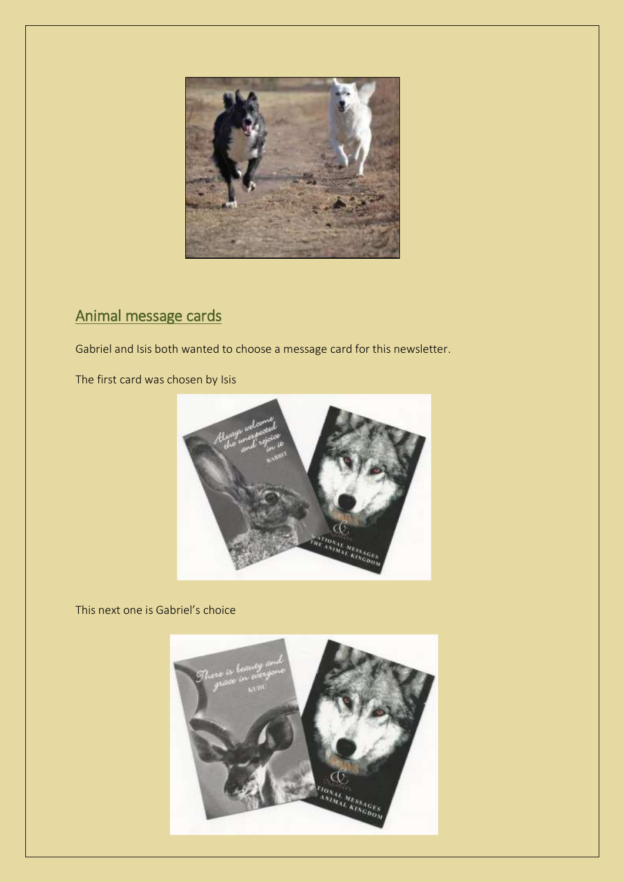

# Animal message cards

Gabriel and Isis both wanted to choose a message card for this newsletter.

The first card was chosen by Isis



This next one is Gabriel's choice